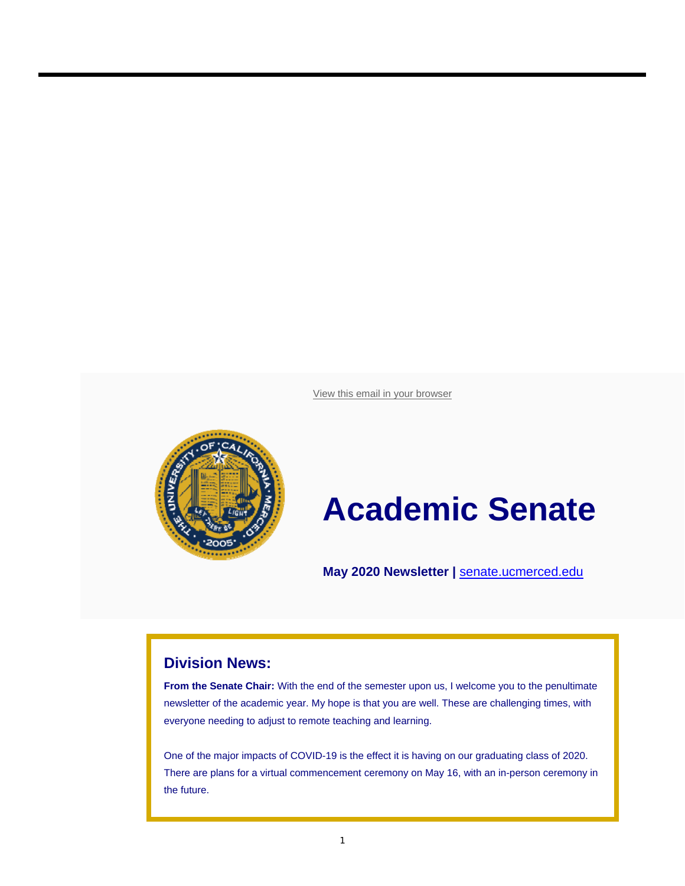View this email in your browser



# **Academic Senate**

**May 2020 Newsletter |** senate.ucmerced.edu

#### **Division News:**

**From the Senate Chair:** With the end of the semester upon us, I welcome you to the penultimate newsletter of the academic year. My hope is that you are well. These are challenging times, with everyone needing to adjust to remote teaching and learning.

One of the major impacts of COVID-19 is the effect it is having on our graduating class of 2020. There are plans for a virtual commencement ceremony on May 16, with an in-person ceremony in the future.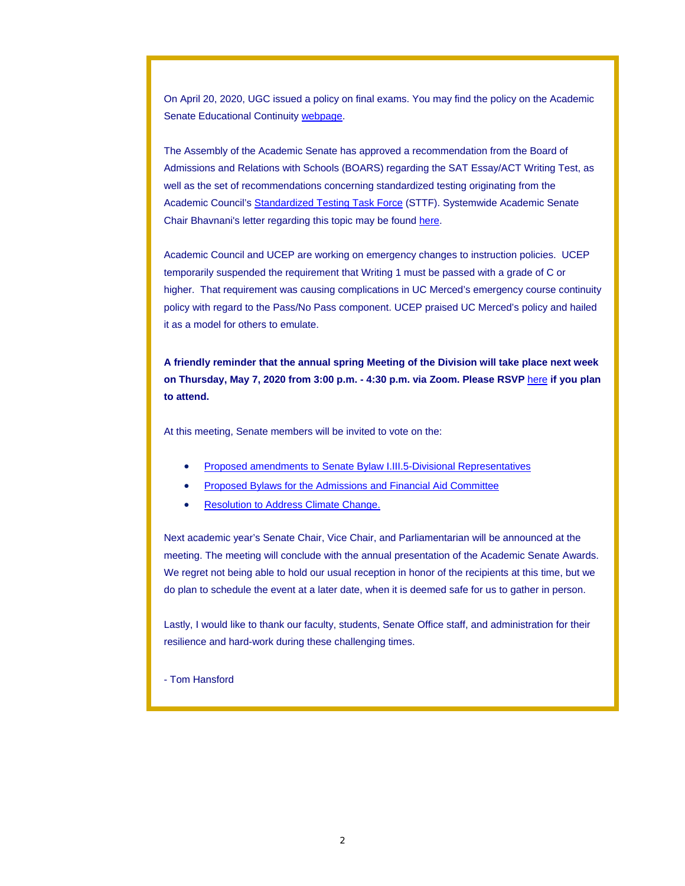On April 20, 2020, UGC issued a policy on final exams. You may find the policy on the Academic Senate Educational Continuity webpage.

The Assembly of the Academic Senate has approved a recommendation from the Board of Admissions and Relations with Schools (BOARS) regarding the SAT Essay/ACT Writing Test, as well as the set of recommendations concerning standardized testing originating from the Academic Council's Standardized Testing Task Force (STTF). Systemwide Academic Senate Chair Bhavnani's letter regarding this topic may be found here.

Academic Council and UCEP are working on emergency changes to instruction policies. UCEP temporarily suspended the requirement that Writing 1 must be passed with a grade of C or higher. That requirement was causing complications in UC Merced's emergency course continuity policy with regard to the Pass/No Pass component. UCEP praised UC Merced's policy and hailed it as a model for others to emulate.

**A friendly reminder that the annual spring Meeting of the Division will take place next week on Thursday, May 7, 2020 from 3:00 p.m. - 4:30 p.m. via Zoom. Please RSVP** here **if you plan to attend.**

At this meeting, Senate members will be invited to vote on the:

- Proposed amendments to Senate Bylaw I.III.5-Divisional Representatives
- Proposed Bylaws for the Admissions and Financial Aid Committee
- Resolution to Address Climate Change.

Next academic year's Senate Chair, Vice Chair, and Parliamentarian will be announced at the meeting. The meeting will conclude with the annual presentation of the Academic Senate Awards. We regret not being able to hold our usual reception in honor of the recipients at this time, but we do plan to schedule the event at a later date, when it is deemed safe for us to gather in person.

Lastly, I would like to thank our faculty, students, Senate Office staff, and administration for their resilience and hard-work during these challenging times.

- Tom Hansford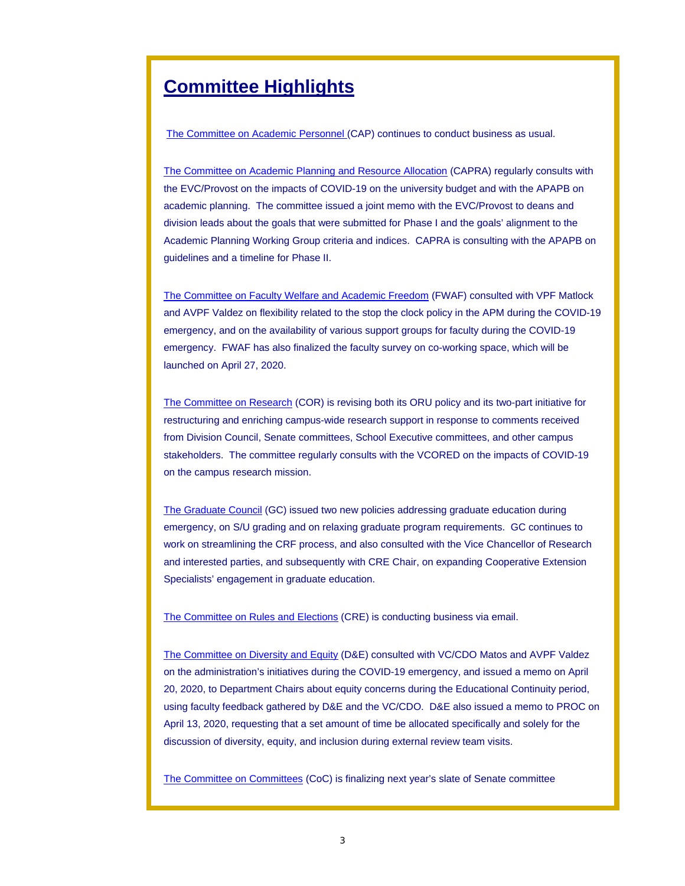## **Committee Highlights**

The Committee on Academic Personnel (CAP) continues to conduct business as usual.

The Committee on Academic Planning and Resource Allocation (CAPRA) regularly consults with the EVC/Provost on the impacts of COVID-19 on the university budget and with the APAPB on academic planning. The committee issued a joint memo with the EVC/Provost to deans and division leads about the goals that were submitted for Phase I and the goals' alignment to the Academic Planning Working Group criteria and indices. CAPRA is consulting with the APAPB on guidelines and a timeline for Phase II.

The Committee on Faculty Welfare and Academic Freedom (FWAF) consulted with VPF Matlock and AVPF Valdez on flexibility related to the stop the clock policy in the APM during the COVID-19 emergency, and on the availability of various support groups for faculty during the COVID-19 emergency. FWAF has also finalized the faculty survey on co-working space, which will be launched on April 27, 2020.

The Committee on Research (COR) is revising both its ORU policy and its two-part initiative for restructuring and enriching campus-wide research support in response to comments received from Division Council, Senate committees, School Executive committees, and other campus stakeholders. The committee regularly consults with the VCORED on the impacts of COVID-19 on the campus research mission.

The Graduate Council (GC) issued two new policies addressing graduate education during emergency, on S/U grading and on relaxing graduate program requirements. GC continues to work on streamlining the CRF process, and also consulted with the Vice Chancellor of Research and interested parties, and subsequently with CRE Chair, on expanding Cooperative Extension Specialists' engagement in graduate education.

The Committee on Rules and Elections (CRE) is conducting business via email.

The Committee on Diversity and Equity (D&E) consulted with VC/CDO Matos and AVPF Valdez on the administration's initiatives during the COVID-19 emergency, and issued a memo on April 20, 2020, to Department Chairs about equity concerns during the Educational Continuity period, using faculty feedback gathered by D&E and the VC/CDO. D&E also issued a memo to PROC on April 13, 2020, requesting that a set amount of time be allocated specifically and solely for the discussion of diversity, equity, and inclusion during external review team visits.

The Committee on Committees (CoC) is finalizing next year's slate of Senate committee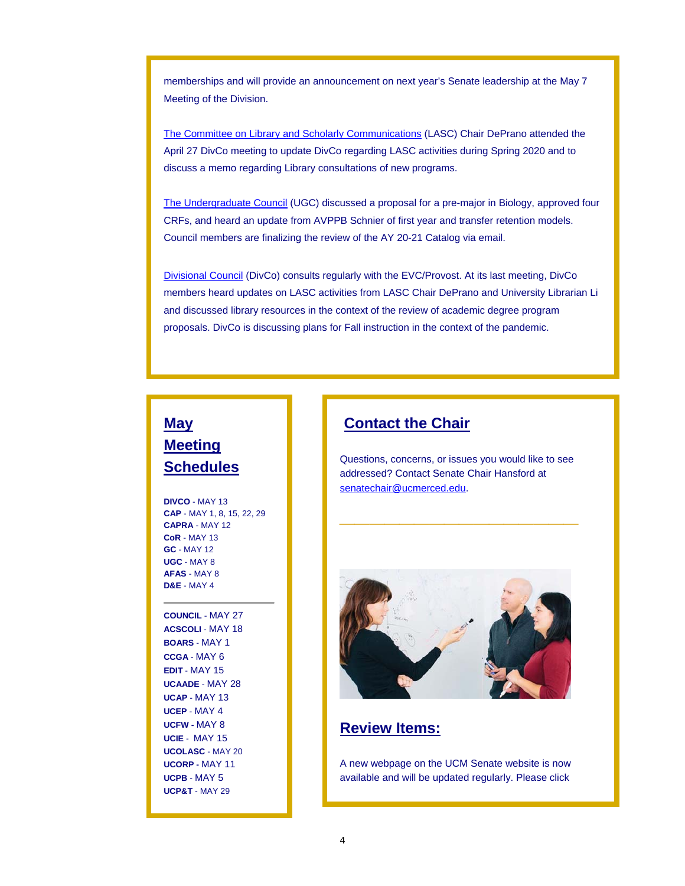memberships and will provide an announcement on next year's Senate leadership at the May 7 Meeting of the Division.

The Committee on Library and Scholarly Communications (LASC) Chair DePrano attended the April 27 DivCo meeting to update DivCo regarding LASC activities during Spring 2020 and to discuss a memo regarding Library consultations of new programs.

The Undergraduate Council (UGC) discussed a proposal for a pre-major in Biology, approved four CRFs, and heard an update from AVPPB Schnier of first year and transfer retention models. Council members are finalizing the review of the AY 20-21 Catalog via email.

Divisional Council (DivCo) consults regularly with the EVC/Provost. At its last meeting, DivCo members heard updates on LASC activities from LASC Chair DePrano and University Librarian Li and discussed library resources in the context of the review of academic degree program proposals. DivCo is discussing plans for Fall instruction in the context of the pandemic.

## **May Meeting Schedules**

**DIVCO** - MAY 13 **CAP** - MAY 1, 8, 15, 22, 29 **CAPRA** - MAY 12 **CoR** - MAY 13 **GC** - MAY 12 **UGC** - MAY 8 **AFAS** - MAY 8 **D&E** - MAY 4

**COUNCIL** - MAY 27 **ACSCOLI** - MAY 18 **BOARS** - MAY 1 **CCGA** - MAY 6 **EDIT** - MAY 15 **UCAADE** - MAY 28 **UCAP** - MAY 13 **UCEP** - MAY 4 **UCFW -** MAY 8 **UCIE** - MAY 15 **UCOLASC** - MAY 20 **UCORP -** MAY 11 **UCPB** - MAY 5 **UCP&T** - MAY 29

## **Contact the Chair**

Questions, concerns, or issues you would like to see addressed? Contact Senate Chair Hansford at senatechair@ucmerced.edu.

**\_\_\_\_\_\_\_\_\_\_\_\_\_\_\_\_**



## **Review Items:**

A new webpage on the UCM Senate website is now available and will be updated regularly. Please click